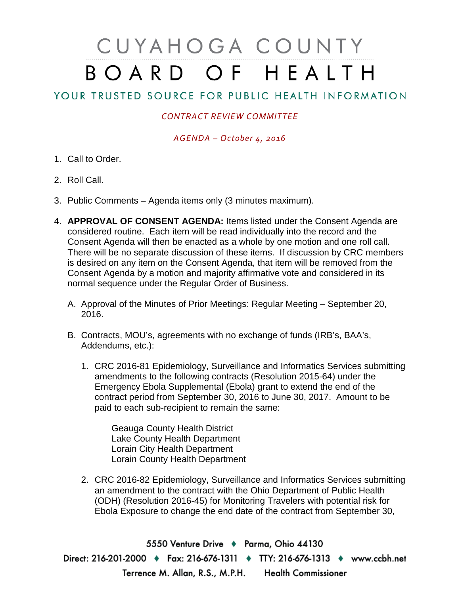# CUYAHOGA COUNTY BOARD OF HEALTH

## YOUR TRUSTED SOURCE FOR PUBLIC HEALTH INFORMATION

### *CONTRACT REVIEW COMMITTEE*

#### *AGENDA – October 4, 2016*

- 1. Call to Order.
- 2. Roll Call.
- 3. Public Comments Agenda items only (3 minutes maximum).
- 4. **APPROVAL OF CONSENT AGENDA:** Items listed under the Consent Agenda are considered routine. Each item will be read individually into the record and the Consent Agenda will then be enacted as a whole by one motion and one roll call. There will be no separate discussion of these items. If discussion by CRC members is desired on any item on the Consent Agenda, that item will be removed from the Consent Agenda by a motion and majority affirmative vote and considered in its normal sequence under the Regular Order of Business.
	- A. Approval of the Minutes of Prior Meetings: Regular Meeting September 20, 2016.
	- B. Contracts, MOU's, agreements with no exchange of funds (IRB's, BAA's, Addendums, etc.):
		- 1. CRC 2016-81 Epidemiology, Surveillance and Informatics Services submitting amendments to the following contracts (Resolution 2015-64) under the Emergency Ebola Supplemental (Ebola) grant to extend the end of the contract period from September 30, 2016 to June 30, 2017. Amount to be paid to each sub-recipient to remain the same:

Geauga County Health District Lake County Health Department Lorain City Health Department Lorain County Health Department

2. CRC 2016-82 Epidemiology, Surveillance and Informatics Services submitting an amendment to the contract with the Ohio Department of Public Health (ODH) (Resolution 2016-45) for Monitoring Travelers with potential risk for Ebola Exposure to change the end date of the contract from September 30,

5550 Venture Drive + Parma, Ohio 44130 Direct: 216-201-2000 • Fax: 216-676-1311 • TTY: 216-676-1313 • www.ccbh.net Terrence M. Allan, R.S., M.P.H. Health Commissioner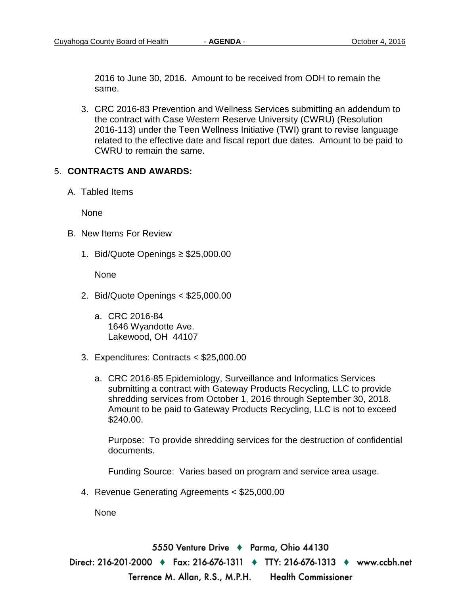2016 to June 30, 2016. Amount to be received from ODH to remain the same.

3. CRC 2016-83 Prevention and Wellness Services submitting an addendum to the contract with Case Western Reserve University (CWRU) (Resolution 2016-113) under the Teen Wellness Initiative (TWI) grant to revise language related to the effective date and fiscal report due dates. Amount to be paid to CWRU to remain the same.

#### 5. **CONTRACTS AND AWARDS:**

A. Tabled Items

None

- B. New Items For Review
	- 1. Bid/Quote Openings ≥ \$25,000.00

None

- 2. Bid/Quote Openings < \$25,000.00
	- a. CRC 2016-84 1646 Wyandotte Ave. Lakewood, OH 44107
- 3. Expenditures: Contracts < \$25,000.00
	- a. CRC 2016-85 Epidemiology, Surveillance and Informatics Services submitting a contract with Gateway Products Recycling, LLC to provide shredding services from October 1, 2016 through September 30, 2018. Amount to be paid to Gateway Products Recycling, LLC is not to exceed \$240.00.

Purpose: To provide shredding services for the destruction of confidential documents.

Funding Source: Varies based on program and service area usage.

4. Revenue Generating Agreements < \$25,000.00

None

5550 Venture Drive + Parma, Ohio 44130 Direct: 216-201-2000 ♦ Fax: 216-676-1311 ♦ TTY: 216-676-1313 ♦ www.ccbh.net Terrence M. Allan, R.S., M.P.H. Health Commissioner